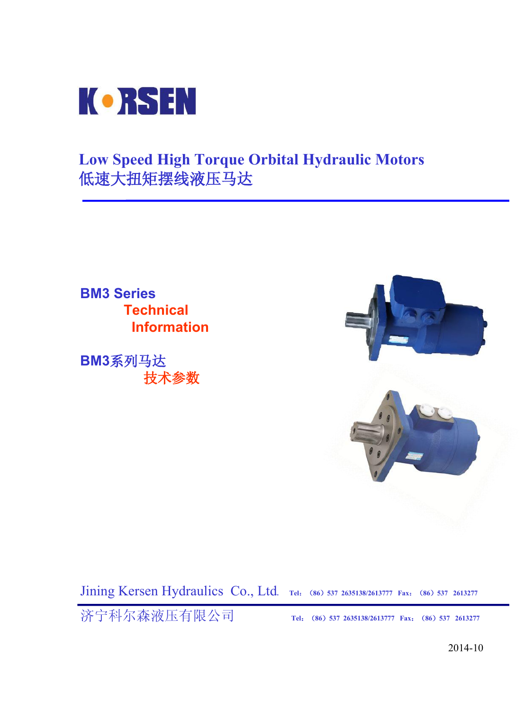

# **Low Speed High Torque Orbital Hydraulic Motors** 低速大扭矩摆线液压马达



Jining Kersen Hydraulics Co., Ltd**. Tel**:(**86**)**537 2635138/2613777 Fax**:(**86**)**537 2613277**

济宁科尔森液压有限公司 **Tel**:(**86**)**537 2635138/2613777 Fax**:(**86**)**537 2613277**

2014-10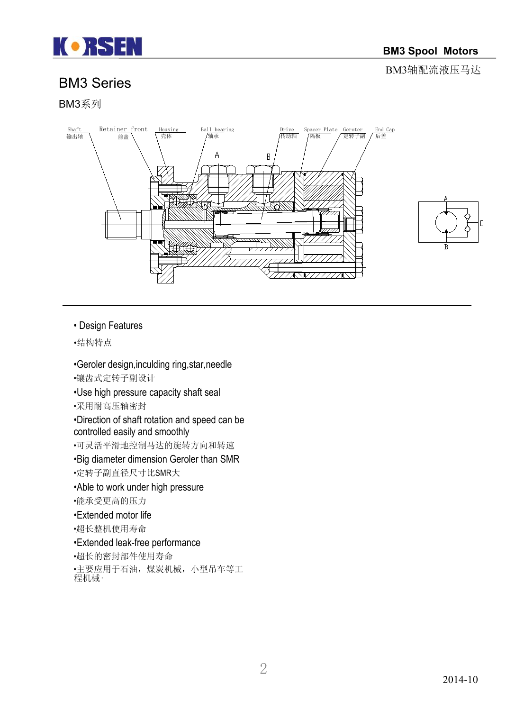

BM3轴配流液压马达

# BM3 Series

## BM3系列





#### • Design Features

•结构特点

•Geroler design,inculding ring,star,needle

- •镶齿式定转子副设计
- •Use high pressure capacity shaft seal
- •采用耐高压轴密封

•Direction of shaft rotation and speed can be controlled easily and smoothly

•可灵活平滑地控制马达的旋转方向和转速

•Big diameter dimension Geroler than SMR

- •定转子副直径尺寸比SMR大
- •Able to work under high pressure
- •能承受更高的压力
- •Extended motor life
- •超长整机使用寿命
- •Extended leak-free performance

•超长的密封部件使用寿命

•主要应用于石油,煤炭机械,小型吊车等工 程机械·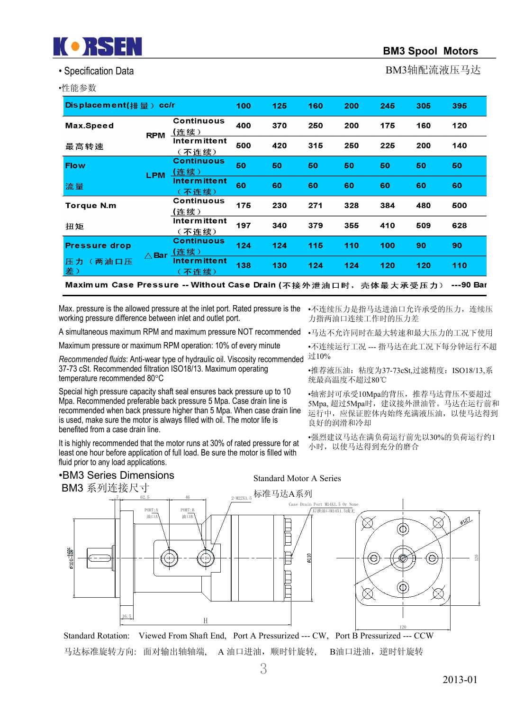

#### •性能参数

• Specification Data **BM3轴配流液压马达** 

| Displacement(排量) cc/r |              |                              | 100 | 125 | 160 | 200 | 245 | 305 | 395 |
|-----------------------|--------------|------------------------------|-----|-----|-----|-----|-----|-----|-----|
| Max.Speed             | <b>RPM</b>   | Continuous<br>(连续)           | 400 | 370 | 250 | 200 | 175 | 160 | 120 |
| 最高转速                  |              | Intermittent<br>(不连续)        | 500 | 420 | 315 | 250 | 225 | 200 | 140 |
| <b>Flow</b>           | <b>LPM</b>   | <b>Continuous</b><br>(连续)    | 50  | 50  | 50  | 50  | 50  | 50  | 50  |
| 流量                    |              | <b>Intermittent</b><br>【不连续) | 60  | 60  | 60  | 60  | 60  | 60  | 60  |
| Torque N.m            |              | <b>Continuous</b><br>(连续)    | 175 | 230 | 271 | 328 | 384 | 480 | 500 |
| 扭矩                    |              | Interm ittent<br>(不连续)       | 197 | 340 | 379 | 355 | 410 | 509 | 628 |
| <b>Pressure drop</b>  | $\wedge$ Bar | <b>Continuous</b><br>(连续)    | 124 | 124 | 115 | 110 | 100 | 90  | 90  |
| 两油口压<br>压力<br>差)      |              | Intermittent<br>不连续)         | 138 | 130 | 124 | 124 | 120 | 120 | 110 |

Maximum Case Pressure -- Without Case Drain (不接外泄油口时, 壳体最大承受压力) ---90 Bar

Max. pressure is the allowed pressure at the inlet port. Rated pressure is the •不连续压力是指马达进油口允许承受的压力,连续压 working pressure difference between inlet and outlet port.

A simultaneous maximum RPM and maximum pressure NOT recommended

Maximum pressure or maximum RPM operation: 10% of every minute

*Recommended fluids*: Anti-wear type of hydraulic oil. Viscosity recommended 过10% 37-73 cSt. Recommended filtration ISO18/13. Maximum operating temperature recommended 80°C

Special high pressure capacity shaft seal ensures back pressure up to 10 Mpa. Recommended preferable back pressure 5 Mpa. Case drain line is recommended when back pressure higher than 5 Mpa. When case drain line is used, make sure the motor is always filled with oil. The motor life is benefited from a case drain line.

It is highly recommended that the motor runs at 30% of rated pressure for at least one hour before application of full load. Be sure the motor is filled with fluid prior to any load applications.

力指两油口连续工作时的压力差

•马达不允许同时在最大转速和最大压力的工况下使用

•不连续运行工况 --- 指马达在此工况下每分钟运行不超

•推荐液压油:粘度为37-73cSt,过滤精度:ISO18/13,系 统最高温度不超过80℃

•轴密封可承受10Mpa的背压,推荐马达背压不要超过 5Mpa,超过5Mpa时, 建议接外泄油管。马达在运行前和 运行中,应保证腔体内始终充满液压油,以使马达得到 良好的润滑和冷却

•强烈建议马达在满负荷运行前先以30%的负荷运行约1 小时,以使马达得到充分的磨合



马达标准旋转方向: 面对输出轴轴端, A 油口进油, 顺时针旋转, B油口进油, 逆时针旋转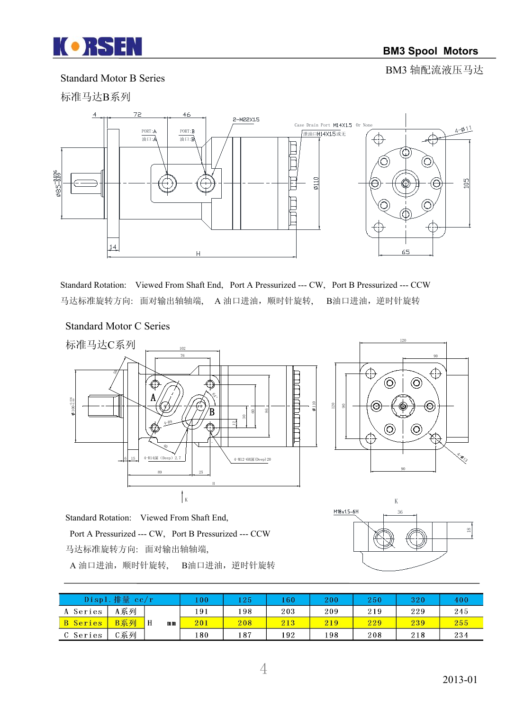

BM3 轴配流液压马达

#### Standard Motor B Series





Standard Rotation: Viewed From Shaft End, Port A Pressurized --- CW, Port B Pressurized --- CCW 马达标准旋转方向: 面对输出轴轴端, A 油口进油, 顺时针旋转, B油口进油, 逆时针旋转

#### Standard Motor C Series





Standard Rotation: Viewed From Shaft End, Port A Pressurized --- CW, Port B Pressurized --- CCW 马达标准旋转方向: 面对输出轴轴端, A 油口进油,顺时针旋转, B油口进油,逆时针旋转



|                 | Displ. 排量 $cc/r$ |            | 00  | 25   | 60  | 200 | 250 | 320 | 400 |
|-----------------|------------------|------------|-----|------|-----|-----|-----|-----|-----|
| A Series        | A系列              |            | 191 | ! 98 | 203 | 209 | 219 | 229 | 245 |
| <b>B</b> Series | B系列              | ı H<br>m m | 201 | 208  | 213 | 219 | 229 | 239 | 255 |
| C Series        | C系列              |            | 180 | 187  | 192 | 198 | 208 | 218 | 234 |

120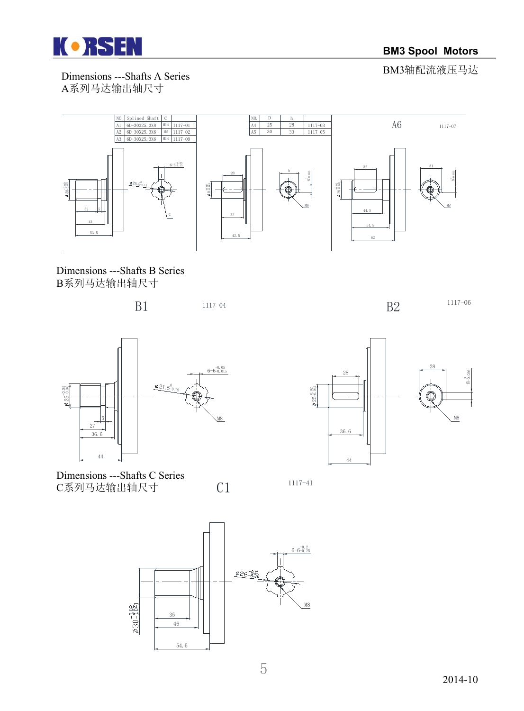

BM3轴配流液压马达

# Dimensions ---Shafts A Series

A系列马达输出轴尺寸



 Dimensions ---Shafts B Series B系列马达输出轴尺寸





 $C1$  and  $1117-41$ 

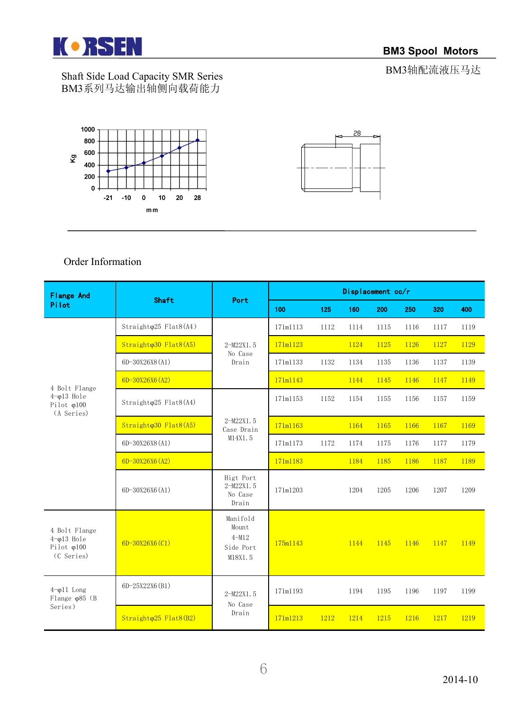

28

BM3轴配流液压马达

## Shaft Side Load Capacity SMR Series BM3系列马达输出轴侧向载荷能力



## Order Information

| <b>Flange And</b>                                                        | <b>Shaft</b>                                                | Port                                                   |          |      |      | Displacement cc/r |      |      |      |
|--------------------------------------------------------------------------|-------------------------------------------------------------|--------------------------------------------------------|----------|------|------|-------------------|------|------|------|
| Pilot                                                                    |                                                             |                                                        | 100      | 125  | 160  | 200               | 250  | 320  | 400  |
|                                                                          | Straighto <sub>25</sub> Flat8(A4)                           |                                                        | 171m1113 | 1112 | 1114 | 1115              | 1116 | 1117 | 1119 |
|                                                                          | Straighto <sub>30</sub> Flat <sub>8</sub> (A <sub>5</sub> ) | 2-M22X1.5<br>No Case                                   | 171m1123 |      | 1124 | 1125              | 1126 | 1127 | 1129 |
|                                                                          | 6D-30X26X8 (A1)                                             | Drain                                                  | 171m1133 | 1132 | 1134 | 1135              | 1136 | 1137 | 1139 |
| 4 Bolt Flange                                                            | 6D-30X26X6 (A2)                                             |                                                        | 171m1143 |      | 1144 | 1145              | 1146 | 1147 | 1149 |
| $4-\varphi13$ Hole<br>Pilot $\varphi$ 100<br>(A Series)                  | Straighto <sub>25</sub> Flat8(A4)                           |                                                        | 171m1153 | 1152 | 1154 | 1155              | 1156 | 1157 | 1159 |
|                                                                          | $Straight\varphi$ 30 Flat8(A5)                              | 2-M22X1.5<br>Case Drain                                | 171m1163 |      | 1164 | 1165              | 1166 | 1167 | 1169 |
|                                                                          | 6D-30X26X8 (A1)                                             | M14X1.5                                                | 171m1173 | 1172 | 1174 | 1175              | 1176 | 1177 | 1179 |
|                                                                          | 6D-30X26X6 (A2)                                             |                                                        | 171m1183 |      | 1184 | 1185              | 1186 | 1187 | 1189 |
|                                                                          | 6D-30X26X6(A1)                                              | Higt Port<br>2-M22X1.5<br>No Case<br>Drain             | 171m1203 |      | 1204 | 1205              | 1206 | 1207 | 1209 |
| 4 Bolt Flange<br>$4-\varphi13$ Hole<br>Pilot $\varphi$ 100<br>(C Series) | 6D-30X26X6 (C1)                                             | Manifold<br>Mount<br>$4 - M12$<br>Side Port<br>M18X1.5 | 175m1143 |      | 1144 | 1145              | 1146 | 1147 | 1149 |
| $4-\varphi11$ Long<br>Flange $\varphi$ 85 (B                             | 6D-25X22X6(B1)                                              | 2-M22X1.5<br>No Case                                   | 171m1193 |      | 1194 | 1195              | 1196 | 1197 | 1199 |
| Series)                                                                  | $Straight@25$ $Flat8(B2)$                                   | Drain                                                  | 171m1213 | 1212 | 1214 | 1215              | 1216 | 1217 | 1219 |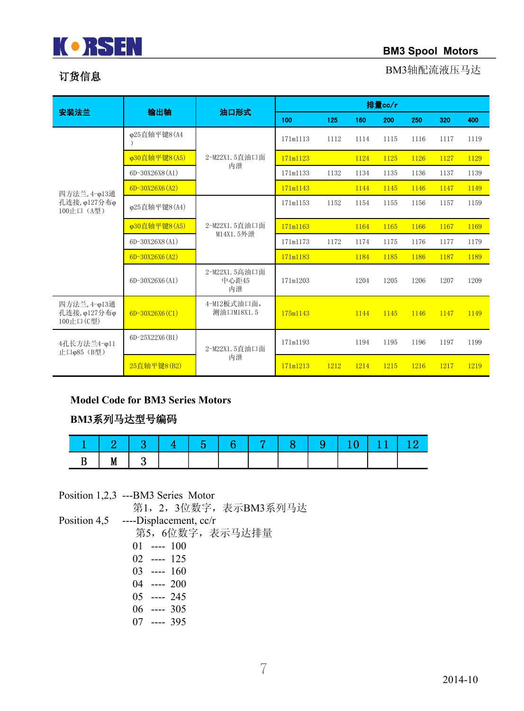

订货信息

#### **BM3 Spool Motors**

BM3轴配流液压马达

| 安装法兰                                      | 输出轴              |                              |          |      |      | 排量cc/r |      |      |      |
|-------------------------------------------|------------------|------------------------------|----------|------|------|--------|------|------|------|
|                                           |                  | 油口形式                         | 100      | 125  | 160  | 200    | 250  | 320  | 400  |
|                                           | φ25直轴平键8(A4      |                              | 171m1113 | 1112 | 1114 | 1115   | 1116 | 1117 | 1119 |
|                                           | φ30直轴平键8(A5)     | 2-M22X1.5直油口面                | 171m1123 |      | 1124 | 1125   | 1126 | 1127 | 1129 |
|                                           | 6D-30X26X8 (A1)  | 内泄                           | 171m1133 | 1132 | 1134 | 1135   | 1136 | 1137 | 1139 |
| 四方法兰, 4-φ13通                              | $6D-30X26X6(A2)$ |                              | 171m1143 |      | 1144 | 1145   | 1146 | 1147 | 1149 |
| 孔连接, φ127分布φ<br>100止口 (A型)                | φ25直轴平键8(A4)     |                              | 171m1153 | 1152 | 1154 | 1155   | 1156 | 1157 | 1159 |
|                                           | φ30直轴平键8(A5)     | 2-M22X1.5直油口面                | 171m1163 |      | 1164 | 1165   | 1166 | 1167 | 1169 |
|                                           | 6D-30X26X8 (A1)  | M14X1.5外泄                    | 171m1173 | 1172 | 1174 | 1175   | 1176 | 1177 | 1179 |
|                                           | $6D-30X26X6(A2)$ |                              | 171m1183 |      | 1184 | 1185   | 1186 | 1187 | 1189 |
|                                           | 6D-30X26X6 (A1)  | 2-M22X1.5高油口面<br>中心距45<br>内泄 | 171m1203 |      | 1204 | 1205   | 1206 | 1207 | 1209 |
| 四方法兰, 4-φ13通<br>孔连接, φ127分布φ<br>100止口(C型) | $6D-30X26X6(C1)$ | 4-M12板式油口面,<br>测油口M18X1.5    | 175m1143 |      | 1144 | 1145   | 1146 | 1147 | 1149 |
| 4孔长方法兰4-φ11<br>止口φ85 (B型)                 | 6D-25X22X6 (B1)  | 2-M22X1.5直油口面                | 171m1193 |      | 1194 | 1195   | 1196 | 1197 | 1199 |
|                                           | 25直轴平键8(B2)      | 内泄                           | 171m1213 | 1212 | 1214 | 1215   | 1216 | 1217 | 1219 |

#### **Model Code for BM3 Series Motors**

**BM3**系列马达型号编码

| $1 \mid 2 \mid 3 \mid 4 \mid 5 \mid 6 \mid 7 \mid 8 \mid 9 \mid 10 \mid 11 \mid 12$ |  |  |  |  |  |
|-------------------------------------------------------------------------------------|--|--|--|--|--|
| M                                                                                   |  |  |  |  |  |

Position 1,2,3 ---BM3 Series Motor

第1,2,3位数字,表示BM3系列马达

Position 4,5 ----Displacement, cc/r 第5,6位数字,表示马达排量 01 ---- 100 02 ---- 125 03 ---- 160 04 ---- 200 05 ---- 245 06 ---- 305 07 ---- 395